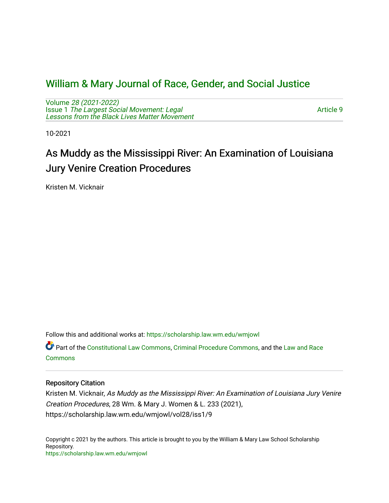## [William & Mary Journal of Race, Gender, and Social Justice](https://scholarship.law.wm.edu/wmjowl)

Volume [28 \(2021-2022\)](https://scholarship.law.wm.edu/wmjowl/vol28)  Issue 1 [The Largest Social Movement: Legal](https://scholarship.law.wm.edu/wmjowl/vol28/iss1) [Lessons from the Black Lives Matter Movement](https://scholarship.law.wm.edu/wmjowl/vol28/iss1) 

[Article 9](https://scholarship.law.wm.edu/wmjowl/vol28/iss1/9) 

10-2021

# As Muddy as the Mississippi River: An Examination of Louisiana Jury Venire Creation Procedures

Kristen M. Vicknair

Follow this and additional works at: [https://scholarship.law.wm.edu/wmjowl](https://scholarship.law.wm.edu/wmjowl?utm_source=scholarship.law.wm.edu%2Fwmjowl%2Fvol28%2Fiss1%2F9&utm_medium=PDF&utm_campaign=PDFCoverPages) 

Part of the [Constitutional Law Commons,](http://network.bepress.com/hgg/discipline/589?utm_source=scholarship.law.wm.edu%2Fwmjowl%2Fvol28%2Fiss1%2F9&utm_medium=PDF&utm_campaign=PDFCoverPages) [Criminal Procedure Commons,](http://network.bepress.com/hgg/discipline/1073?utm_source=scholarship.law.wm.edu%2Fwmjowl%2Fvol28%2Fiss1%2F9&utm_medium=PDF&utm_campaign=PDFCoverPages) and the [Law and Race](http://network.bepress.com/hgg/discipline/1300?utm_source=scholarship.law.wm.edu%2Fwmjowl%2Fvol28%2Fiss1%2F9&utm_medium=PDF&utm_campaign=PDFCoverPages)  **[Commons](http://network.bepress.com/hgg/discipline/1300?utm_source=scholarship.law.wm.edu%2Fwmjowl%2Fvol28%2Fiss1%2F9&utm_medium=PDF&utm_campaign=PDFCoverPages)** 

## Repository Citation

Kristen M. Vicknair, As Muddy as the Mississippi River: An Examination of Louisiana Jury Venire Creation Procedures, 28 Wm. & Mary J. Women & L. 233 (2021), https://scholarship.law.wm.edu/wmjowl/vol28/iss1/9

Copyright c 2021 by the authors. This article is brought to you by the William & Mary Law School Scholarship Repository. <https://scholarship.law.wm.edu/wmjowl>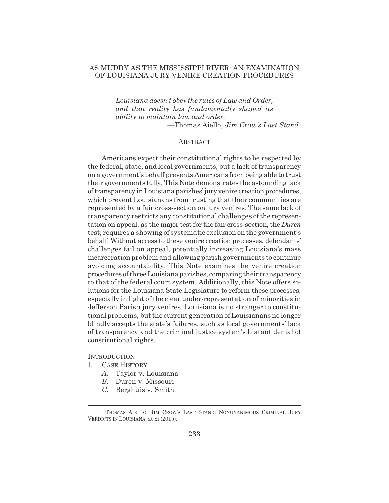## AS MUDDY AS THE MISSISSIPPI RIVER: AN EXAMINATION OF LOUISIANA JURY VENIRE CREATION PROCEDURES

*Louisiana doesn't obey the rules of Law and Order, and that reality has fundamentally shaped its ability to maintain law and order.* —Thomas Aiello, *Jim Crow's Last Stand*<sup>1</sup>

#### **ABSTRACT**

Americans expect their constitutional rights to be respected by the federal, state, and local governments, but a lack of transparency on a government's behalf prevents Americans from being able to trust their governments fully. This Note demonstrates the astounding lack of transparency in Louisiana parishes' jury venire creation procedures, which prevent Louisianans from trusting that their communities are represented by a fair cross-section on jury venires. The same lack of transparency restricts any constitutional challenges of the representation on appeal, as the major test for the fair cross-section, the *Duren* test, requires a showing of systematic exclusion on the government's behalf. Without access to these venire creation processes, defendants' challenges fail on appeal, potentially increasing Louisiana's mass incarceration problem and allowing parish governments to continue avoiding accountability. This Note examines the venire creation procedures of three Louisiana parishes, comparing their transparency to that of the federal court system. Additionally, this Note offers solutions for the Louisiana State Legislature to reform these processes, especially in light of the clear under-representation of minorities in Jefferson Parish jury venires. Louisiana is no stranger to constitutional problems, but the current generation of Louisianans no longer blindly accepts the state's failures, such as local governments' lack of transparency and the criminal justice system's blatant denial of constitutional rights.

#### **INTRODUCTION**

- I. CASE HISTORY
	- *A.* Taylor v. Louisiana
	- *B.* Duren v. Missouri
	- *C.* Berghuis v. Smith

<sup>1.</sup> THOMAS AIELLO, JIM CROW'S LAST STAND: NONUNANIMOUS CRIMINAL JURY VERDICTS IN LOUISIANA, at xi (2015).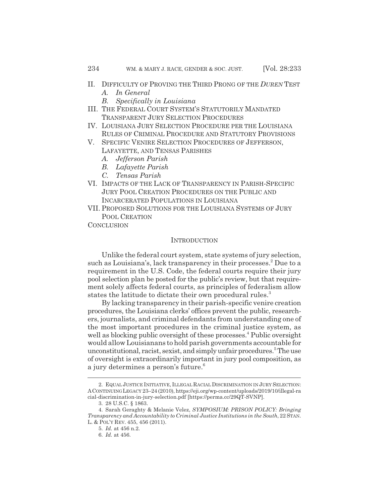- II. DIFFICULTY OF PROVING THE THIRD PRONG OF THE *DUREN* TEST
	- *A. In General*
	- *B. Specifically in Louisiana*
- III. THE FEDERAL COURT SYSTEM'S STATUTORILY MANDATED TRANSPARENT JURY SELECTION PROCEDURES
- IV. LOUISIANA JURY SELECTION PROCEDURE PER THE LOUISIANA RULES OF CRIMINAL PROCEDURE AND STATUTORY PROVISIONS
- V. SPECIFIC VENIRE SELECTION PROCEDURES OF JEFFERSON, LAFAYETTE, AND TENSAS PARISHES
	- *A. Jefferson Parish*
	- *B. Lafayette Parish*
	- *C. Tensas Parish*
- VI. IMPACTS OF THE LACK OF TRANSPARENCY IN PARISH-SPECIFIC JURY POOL CREATION PROCEDURES ON THE PUBLIC AND INCARCERATED POPULATIONS IN LOUISIANA
- VII. PROPOSED SOLUTIONS FOR THE LOUISIANA SYSTEMS OF JURY POOL CREATION
- **CONCLUSION**

#### **INTRODUCTION**

Unlike the federal court system, state systems of jury selection, such as Louisiana's, lack transparency in their processes.<sup>2</sup> Due to a requirement in the U.S. Code, the federal courts require their jury pool selection plan be posted for the public's review, but that requirement solely affects federal courts, as principles of federalism allow states the latitude to dictate their own procedural rules.<sup>3</sup>

By lacking transparency in their parish-specific venire creation procedures, the Louisiana clerks' offices prevent the public, researchers, journalists, and criminal defendants from understanding one of the most important procedures in the criminal justice system, as well as blocking public oversight of these processes.<sup>4</sup> Public oversight would allow Louisianans to hold parish governments accountable for unconstitutional, racist, sexist, and simply unfair procedures.<sup>5</sup> The use of oversight is extraordinarily important in jury pool composition, as a jury determines a person's future.<sup>6</sup>

<sup>2.</sup> EQUAL JUSTICE INITIATIVE, ILLEGAL RACIAL DISCRIMINATION IN JURY SELECTION: ACONTINUING LEGACY 23–24 (2010), https://eji.org/wp-content/uploads/2019/10/illegal-ra cial-discrimination-in-jury-selection.pdf [https://perma.cc/29QT-SVNP].

<sup>3. 28</sup> U.S.C. § 1863.

<sup>4.</sup> Sarah Geraghty & Melanie Velez, *SYMPOSIUM: PRISON POLICY: Bringing Transparency and Accountability to Criminal Justice Institutions in the South*, 22 STAN. L. & POL'Y REV. 455, 456 (2011).

<sup>5.</sup> *Id.* at 456 n.2.

<sup>6.</sup> *Id.* at 456.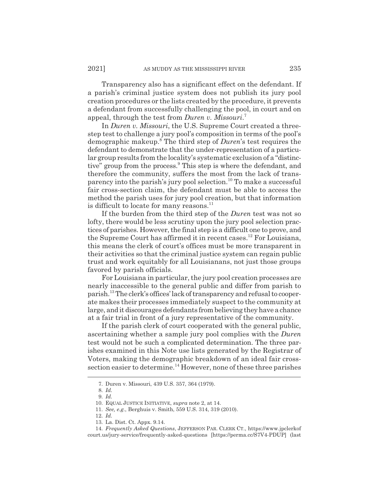Transparency also has a significant effect on the defendant. If a parish's criminal justice system does not publish its jury pool creation procedures or the lists created by the procedure, it prevents a defendant from successfully challenging the pool, in court and on appeal, through the test from *Duren v. Missouri*. 7

In *Duren v. Missouri*, the U.S. Supreme Court created a threestep test to challenge a jury pool's composition in terms of the pool's demographic makeup.<sup>8</sup> The third step of *Duren*'s test requires the defendant to demonstrate that the under-representation of a particular group results from the locality's systematic exclusion of a "distinctive" group from the process.<sup>9</sup> This step is where the defendant, and therefore the community, suffers the most from the lack of transparency into the parish's jury pool selection.<sup>10</sup> To make a successful fair cross-section claim, the defendant must be able to access the method the parish uses for jury pool creation, but that information is difficult to locate for many reasons. $^{11}$ 

If the burden from the third step of the *Duren* test was not so lofty, there would be less scrutiny upon the jury pool selection practices of parishes. However, the final step is a difficult one to prove, and the Supreme Court has affirmed it in recent cases.12 For Louisiana, this means the clerk of court's offices must be more transparent in their activities so that the criminal justice system can regain public trust and work equitably for all Louisianans, not just those groups favored by parish officials.

For Louisiana in particular, the jury pool creation processes are nearly inaccessible to the general public and differ from parish to parish.13 The clerk's offices' lack of transparency and refusal to cooperate makes their processes immediately suspect to the community at large, and it discourages defendants from believing they have a chance at a fair trial in front of a jury representative of the community.

If the parish clerk of court cooperated with the general public, ascertaining whether a sample jury pool complies with the *Duren* test would not be such a complicated determination. The three parishes examined in this Note use lists generated by the Registrar of Voters, making the demographic breakdown of an ideal fair crosssection easier to determine.<sup>14</sup> However, none of these three parishes

<sup>7.</sup> Duren v. Missouri, 439 U.S. 357, 364 (1979).

<sup>8.</sup> *Id.* 9. *Id.*

<sup>10.</sup> EQUAL JUSTICE INITIATIVE, *supra* note 2, at 14.

<sup>11.</sup> *See, e.g.*, Berghuis v. Smith, 559 U.S. 314, 319 (2010).

<sup>12.</sup> *Id.*

<sup>13.</sup> La. Dist. Ct. Appx. 9.14.

<sup>14.</sup> *Frequently Asked Questions*, JEFFERSON PAR. CLERK CT., https://www.jpclerkof court.us/jury-service/frequently-asked-questions [https://perma.cc/S7V4-PDUP] (last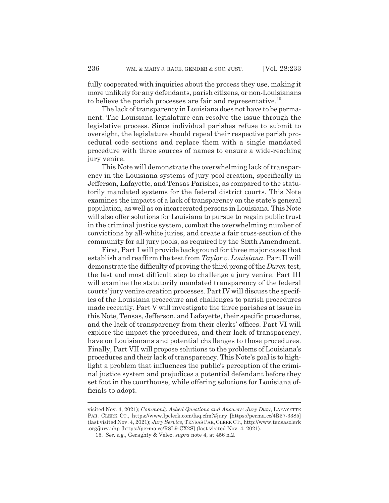fully cooperated with inquiries about the process they use, making it more unlikely for any defendants, parish citizens, or non-Louisianans to believe the parish processes are fair and representative.<sup>15</sup>

The lack of transparency in Louisiana does not have to be permanent. The Louisiana legislature can resolve the issue through the legislative process. Since individual parishes refuse to submit to oversight, the legislature should repeal their respective parish procedural code sections and replace them with a single mandated procedure with three sources of names to ensure a wide-reaching jury venire.

This Note will demonstrate the overwhelming lack of transparency in the Louisiana systems of jury pool creation, specifically in Jefferson, Lafayette, and Tensas Parishes, as compared to the statutorily mandated systems for the federal district courts. This Note examines the impacts of a lack of transparency on the state's general population, as well as on incarcerated persons in Louisiana. This Note will also offer solutions for Louisiana to pursue to regain public trust in the criminal justice system, combat the overwhelming number of convictions by all-white juries, and create a fair cross-section of the community for all jury pools, as required by the Sixth Amendment.

First, Part I will provide background for three major cases that establish and reaffirm the test from *Taylor v. Louisiana*. Part II will demonstrate the difficulty of proving the third prong of the *Duren* test, the last and most difficult step to challenge a jury venire. Part III will examine the statutorily mandated transparency of the federal courts' jury venire creation processes. Part IV will discuss the specifics of the Louisiana procedure and challenges to parish procedures made recently. Part V will investigate the three parishes at issue in this Note, Tensas, Jefferson, and Lafayette, their specific procedures, and the lack of transparency from their clerks' offices. Part VI will explore the impact the procedures, and their lack of transparency, have on Louisianans and potential challenges to those procedures. Finally, Part VII will propose solutions to the problems of Louisiana's procedures and their lack of transparency. This Note's goal is to highlight a problem that influences the public's perception of the criminal justice system and prejudices a potential defendant before they set foot in the courthouse, while offering solutions for Louisiana officials to adopt.

visited Nov. 4, 2021); *Commonly Asked Questions and Answers: Jury Duty*, LAFAYETTE PAR. CLERK CT., https://www.lpclerk.com/faq.cfm?#jury [https://perma.cc/4R57-3385] (last visited Nov. 4, 2021); *Jury Service*, TENSASPAR,CLERK CT., http://www.tensasclerk .org/jury.php [https://perma.cc/R8L9-CX2S] (last visited Nov. 4, 2021).

<sup>15.</sup> *See, e.g.*, Geraghty & Velez, *supra* note 4, at 456 n.2.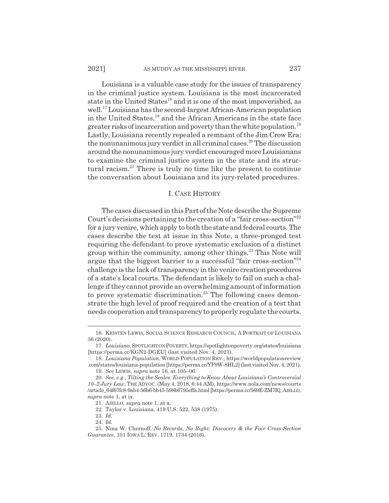Louisiana is a valuable case study for the issues of transparency in the criminal justice system. Louisiana is the most incarcerated state in the United States<sup>16</sup> and it is one of the most impoverished, as well.17 Louisiana has the second-largest African-American population in the United States,<sup>18</sup> and the African Americans in the state face greater risks of incarceration and poverty than the white population.<sup>19</sup> Lastly, Louisiana recently repealed a remnant of the Jim Crow Era: the nonunanimous jury verdict in all criminal cases.<sup>20</sup> The discussion around the nonunanimous jury verdict encouraged more Louisianans to examine the criminal justice system in the state and its structural racism.21 There is truly no time like the present to continue the conversation about Louisiana and its jury-related procedures.

#### I. CASE HISTORY

The cases discussed in this Part of the Note describe the Supreme Court's decisions pertaining to the creation of a "fair cross-section"22 for a jury venire, which apply to both the state and federal courts. The cases describe the test at issue in this Note, a three-pronged test requiring the defendant to prove systematic exclusion of a distinct group within the community, among other things.23 This Note will argue that the biggest barrier to a successful "fair cross-section"24 challenge is the lack of transparency in the venire creation procedures of a state's local courts. The defendant is likely to fail on such a challenge if they cannot provide an overwhelming amount of information to prove systematic discrimination.<sup>25</sup> The following cases demonstrate the high level of proof required and the creation of a test that needs cooperation and transparency to properly regulate the courts.

<sup>16.</sup> KRISTEN LEWIS, SOCIAL SCIENCE RESEARCH COUNCIL,APORTRAIT OF LOUISIANA 36 (2020).

<sup>17.</sup> *Louisiana*,SPOTLIGHT ON POVERTY, https://spotlightonpoverty.org/states/louisiana [https://perma.cc/KGN2-DGEU] (last visited Nov. 4, 2021).

<sup>18.</sup> *Louisiana Population*, WORLD POPULATION REV., https://worldpopulationreview .com/states/louisiana-population [https://perma.cc/YF9W-8HL2] (last visited Nov. 4, 2021).

<sup>19.</sup> *See* LEWIS, *supra* note 16, at 105–06.

<sup>20.</sup> *See, e.g.*, *Tilting the Scales: Everything to Know About Louisiana's Controversial 10–2 Jury Law*, THE ADVOC. (May 4, 2018, 6:44 AM), https://www.nola.com/news/courts /article\_64f67fc8-9ab4-56b6-bb45-598b6795cffa.html [https://perma.cc/569E-ZM7R]; AIELLO, *supra* note 1, at ix.

<sup>21.</sup> AIELLO, *supra* note 1, at x.

<sup>22.</sup> Taylor v. Louisiana, 419 U.S. 522, 538 (1975).

<sup>23.</sup> *Id.*

<sup>24.</sup> *Id.*

<sup>25.</sup> Nina W. Chernoff, *No Records, No Right: Discovery & the Fair Cross-Section Guarantee*, 101 IOWA L. REV. 1719, 1734 (2016).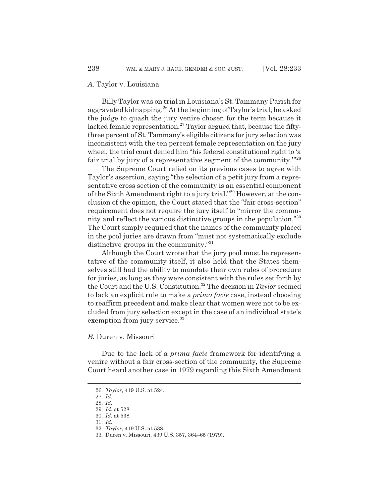Billy Taylor was on trial in Louisiana's St. Tammany Parish for aggravated kidnapping.<sup>26</sup> At the beginning of Taylor's trial, he asked the judge to quash the jury venire chosen for the term because it lacked female representation.<sup>27</sup> Taylor argued that, because the fiftythree percent of St. Tammany's eligible citizens for jury selection was inconsistent with the ten percent female representation on the jury wheel, the trial court denied him "his federal constitutional right to 'a fair trial by jury of a representative segment of the community.'"28

The Supreme Court relied on its previous cases to agree with Taylor's assertion, saying "the selection of a petit jury from a representative cross section of the community is an essential component of the Sixth Amendment right to a jury trial."29 However, at the conclusion of the opinion, the Court stated that the "fair cross-section" requirement does not require the jury itself to "mirror the community and reflect the various distinctive groups in the population."30 The Court simply required that the names of the community placed in the pool juries are drawn from "must not systematically exclude distinctive groups in the community."31

Although the Court wrote that the jury pool must be representative of the community itself, it also held that the States themselves still had the ability to mandate their own rules of procedure for juries, as long as they were consistent with the rules set forth by the Court and the U.S. Constitution.<sup>32</sup> The decision in  $Taylor$  seemed to lack an explicit rule to make a *prima facie* case, instead choosing to reaffirm precedent and make clear that women were not to be excluded from jury selection except in the case of an individual state's exemption from jury service.<sup>33</sup>

#### *B.* Duren v. Missouri

Due to the lack of a *prima facie* framework for identifying a venire without a fair cross-section of the community, the Supreme Court heard another case in 1979 regarding this Sixth Amendment

<sup>26.</sup> *Taylor*, 419 U.S. at 524.

<sup>27.</sup> *Id.*

<sup>28.</sup> *Id.*

<sup>29.</sup> *Id.* at 528. 30. *Id.* at 538.

<sup>31.</sup> *Id.*

<sup>32.</sup> *Taylor*, 419 U.S. at 538.

<sup>33.</sup> Duren v. Missouri, 439 U.S. 357, 364–65 (1979).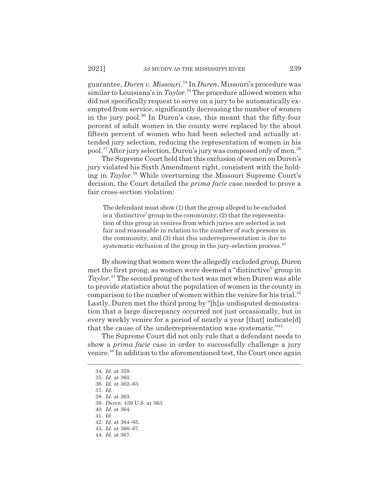guarantee, *Duren v. Missouri*. 34 In *Duren*, Missouri's procedure was similar to Louisiana's in *Taylor*. 35 The procedure allowed women who did not specifically request to serve on a jury to be automatically exempted from service, significantly decreasing the number of women in the jury pool.36 In Duren's case, this meant that the fifty-four percent of adult women in the county were replaced by the about fifteen percent of women who had been selected and actually attended jury selection, reducing the representation of women in his pool.37 After jury selection, Duren's jury was composed only of men.38

The Supreme Court held that this exclusion of women on Duren's jury violated his Sixth Amendment right, consistent with the holding in *Taylor*. 39 While overturning the Missouri Supreme Court's decision, the Court detailed the *prima facie* case needed to prove a fair cross-section violation:

The defendant must show (1) that the group alleged to be excluded is a 'distinctive' group in the community; (2) that the representation of this group in venires from which juries are selected is not fair and reasonable in relation to the number of such persons in the community; and (3) that this underrepresentation is due to systematic exclusion of the group in the jury-selection process.  $40$ 

By showing that women were the allegedly excluded group, Duren met the first prong, as women were deemed a "distinctive" group in *Taylor*. 41 The second prong of the test was met when Duren was able to provide statistics about the population of women in the county in comparison to the number of women within the venire for his trial. $42$ Lastly, Duren met the third prong by "[h]is undisputed demonstration that a large discrepancy occurred not just occasionally, but in every weekly venire for a period of nearly a year [that] indicate[d] that the cause of the underrepresentation was systematic."43

The Supreme Court did not only rule that a defendant needs to show a *prima facie* case in order to successfully challenge a jury venire.44 In addition to the aforementioned test, the Court once again

<sup>34.</sup> *Id.* at 359.

<sup>35.</sup> *Id.* at 360.

<sup>36.</sup> *Id.* at 362–63.

<sup>37.</sup> *Id.*

<sup>38.</sup> *Id.* at 363.

<sup>39.</sup> *Duren*, 439 U.S. at 363.

<sup>40.</sup> *Id.* at 364.

<sup>41.</sup> *Id.*

<sup>42.</sup> *Id.* at 364–65.

<sup>43.</sup> *Id.* at 366–67.

<sup>44.</sup> *Id.* at 367.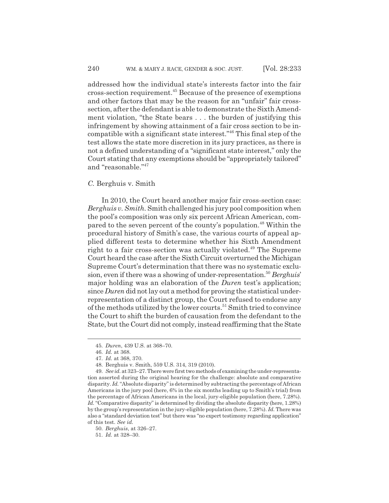addressed how the individual state's interests factor into the fair cross-section requirement.45 Because of the presence of exemptions and other factors that may be the reason for an "unfair" fair crosssection, after the defendant is able to demonstrate the Sixth Amendment violation, "the State bears . . . the burden of justifying this infringement by showing attainment of a fair cross section to be incompatible with a significant state interest."46 This final step of the test allows the state more discretion in its jury practices, as there is not a defined understanding of a "significant state interest," only the Court stating that any exemptions should be "appropriately tailored" and "reasonable."47

#### *C.* Berghuis v. Smith

In 2010, the Court heard another major fair cross-section case: *Berghuis v. Smith.* Smith challenged his jury pool composition when the pool's composition was only six percent African American, compared to the seven percent of the county's population.<sup>48</sup> Within the procedural history of Smith's case, the various courts of appeal applied different tests to determine whether his Sixth Amendment right to a fair cross-section was actually violated.<sup>49</sup> The Supreme Court heard the case after the Sixth Circuit overturned the Michigan Supreme Court's determination that there was no systematic exclusion, even if there was a showing of under-representation.50 *Berghuis*' major holding was an elaboration of the *Duren* test's application; since *Duren* did not lay out a method for proving the statistical underrepresentation of a distinct group, the Court refused to endorse any of the methods utilized by the lower courts.<sup>51</sup> Smith tried to convince the Court to shift the burden of causation from the defendant to the State, but the Court did not comply, instead reaffirming that the State

<sup>45.</sup> *Duren*, 439 U.S. at 368–70.

<sup>46.</sup> *Id.* at 368.

<sup>47.</sup> *Id.* at 368, 370.

<sup>48.</sup> Berghuis v. Smith, 559 U.S. 314, 319 (2010).

<sup>49.</sup> *See id.* at 323–27. There were first two methods of examining the under-representation asserted during the original hearing for the challenge: absolute and comparative disparity. *Id.* "Absolute disparity" is determined by subtracting the percentage of African Americans in the jury pool (here, 6% in the six months leading up to Smith's trial) from the percentage of African Americans in the local, jury-eligible population (here, 7.28%). *Id.* "Comparative disparity" is determined by dividing the absolute disparity (here, 1.28%) by the group's representation in the jury-eligible population (here, 7.28%). *Id.* There was also a "standard deviation test" but there was "no expert testimony regarding application" of this test. *See id.*

<sup>50.</sup> *Berghuis*, at 326–27.

<sup>51.</sup> *Id.* at 328–30.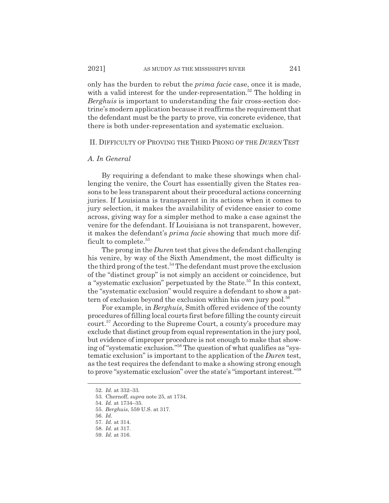only has the burden to rebut the *prima facie* case, once it is made, with a valid interest for the under-representation.<sup>52</sup> The holding in *Berghuis* is important to understanding the fair cross-section doctrine's modern application because it reaffirms the requirement that the defendant must be the party to prove, via concrete evidence, that there is both under-representation and systematic exclusion.

#### II. DIFFICULTY OF PROVING THE THIRD PRONG OF THE *DUREN* TEST

#### *A. In General*

By requiring a defendant to make these showings when challenging the venire, the Court has essentially given the States reasons to be less transparent about their procedural actions concerning juries. If Louisiana is transparent in its actions when it comes to jury selection, it makes the availability of evidence easier to come across, giving way for a simpler method to make a case against the venire for the defendant. If Louisiana is not transparent, however, it makes the defendant's *prima facie* showing that much more difficult to complete.<sup>53</sup>

The prong in the *Duren* test that gives the defendant challenging his venire, by way of the Sixth Amendment, the most difficulty is the third prong of the test.<sup>54</sup> The defendant must prove the exclusion of the "distinct group" is not simply an accident or coincidence, but a "systematic exclusion" perpetuated by the State.<sup>55</sup> In this context, the "systematic exclusion" would require a defendant to show a pattern of exclusion beyond the exclusion within his own jury pool.<sup>56</sup>

For example, in *Berghuis*, Smith offered evidence of the county procedures of filling local courts first before filling the county circuit court.57 According to the Supreme Court, a county's procedure may exclude that distinct group from equal representation in the jury pool, but evidence of improper procedure is not enough to make that showing of "systematic exclusion."58 The question of what qualifies as "systematic exclusion" is important to the application of the *Duren* test, as the test requires the defendant to make a showing strong enough to prove "systematic exclusion" over the state's "important interest."59

<sup>52.</sup> *Id.* at 332–33.

<sup>53.</sup> Chernoff, *supra* note 25, at 1734.

<sup>54.</sup> *Id.* at 1734–35.

<sup>55.</sup> *Berghuis*, 559 U.S. at 317.

<sup>56.</sup> *Id.*

<sup>57.</sup> *Id.* at 314.

<sup>58.</sup> *Id.* at 317.

<sup>59.</sup> *Id.* at 316.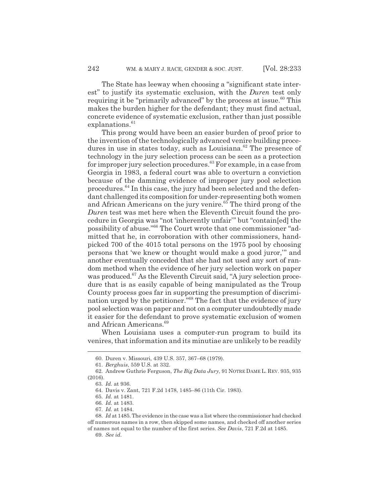The State has leeway when choosing a "significant state interest" to justify its systematic exclusion, with the *Duren* test only requiring it be "primarily advanced" by the process at issue.<sup>60</sup> This makes the burden higher for the defendant; they must find actual, concrete evidence of systematic exclusion, rather than just possible  $explanations.<sup>61</sup>$ 

This prong would have been an easier burden of proof prior to the invention of the technologically advanced venire building procedures in use in states today, such as Louisiana. $62$  The presence of technology in the jury selection process can be seen as a protection for improper jury selection procedures.63 For example, in a case from Georgia in 1983, a federal court was able to overturn a conviction because of the damning evidence of improper jury pool selection procedures.64 In this case, the jury had been selected and the defendant challenged its composition for under-representing both women and African Americans on the jury venire.<sup>65</sup> The third prong of the *Duren* test was met here when the Eleventh Circuit found the procedure in Georgia was "not 'inherently unfair'" but "contain[ed] the possibility of abuse."66 The Court wrote that one commissioner "admitted that he, in corroboration with other commissioners, handpicked 700 of the 4015 total persons on the 1975 pool by choosing persons that 'we knew or thought would make a good juror,'" and another eventually conceded that she had not used any sort of random method when the evidence of her jury selection work on paper was produced.<sup>67</sup> As the Eleventh Circuit said, "A jury selection procedure that is as easily capable of being manipulated as the Troup County process goes far in supporting the presumption of discrimination urged by the petitioner."68 The fact that the evidence of jury pool selection was on paper and not on a computer undoubtedly made it easier for the defendant to prove systematic exclusion of women and African Americans.<sup>69</sup>

When Louisiana uses a computer-run program to build its venires, that information and its minutiae are unlikely to be readily

<sup>60.</sup> Duren v. Missouri, 439 U.S. 357, 367–68 (1979).

<sup>61.</sup> *Berghuis*, 559 U.S. at 332.

<sup>62.</sup> Andrew Guthrie Ferguson, *The Big Data Jury*, 91 NOTRE DAME L. REV. 935, 935 (2016).

<sup>63.</sup> *Id.* at 936.

<sup>64.</sup> Davis v. Zant, 721 F.2d 1478, 1485–86 (11th Cir. 1983).

<sup>65.</sup> *Id.* at 1481.

<sup>66.</sup> *Id.* at 1483.

<sup>67.</sup> *Id.* at 1484.

<sup>68.</sup> *Id* at 1485. The evidence in the case was a list where the commissioner had checked off numerous names in a row, then skipped some names, and checked off another series of names not equal to the number of the first series. *See Davis*, 721 F.2d at 1485.

<sup>69.</sup> *See id.*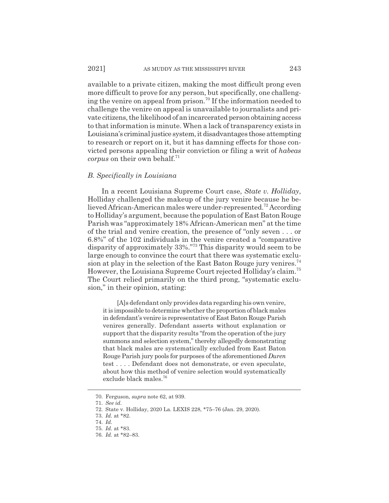available to a private citizen, making the most difficult prong even more difficult to prove for any person, but specifically, one challenging the venire on appeal from prison.<sup>70</sup> If the information needed to challenge the venire on appeal is unavailable to journalists and private citizens, the likelihood of an incarcerated person obtaining access to that information is minute. When a lack of transparency exists in Louisiana's criminal justice system, it disadvantages those attempting to research or report on it, but it has damning effects for those convicted persons appealing their conviction or filing a writ of *habeas corpus* on their own behalf.<sup>71</sup>

#### *B. Specifically in Louisiana*

In a recent Louisiana Supreme Court case, *State v. Holliday*, Holliday challenged the makeup of the jury venire because he believed African-American males were under-represented.72 According to Holliday's argument, because the population of East Baton Rouge Parish was "approximately 18% African-American men" at the time of the trial and venire creation, the presence of "only seven . . . or 6.8%" of the 102 individuals in the venire created a "comparative disparity of approximately 33%."73 This disparity would seem to be large enough to convince the court that there was systematic exclusion at play in the selection of the East Baton Rouge jury venires.<sup>74</sup> However, the Louisiana Supreme Court rejected Holliday's claim.75 The Court relied primarily on the third prong, "systematic exclusion," in their opinion, stating:

[A]s defendant only provides data regarding his own venire, it is impossible to determine whether the proportion of black males in defendant's venire is representative of East Baton Rouge Parish venires generally. Defendant asserts without explanation or support that the disparity results "from the operation of the jury summons and selection system," thereby allegedly demonstrating that black males are systematically excluded from East Baton Rouge Parish jury pools for purposes of the aforementioned *Duren* test . . . . Defendant does not demonstrate, or even speculate, about how this method of venire selection would systematically exclude black males.76

<sup>70.</sup> Ferguson, *supra* note 62, at 939.

<sup>71.</sup> *See id.*

<sup>72.</sup> State v. Holliday, 2020 La. LEXIS 228, \*75–76 (Jan. 29, 2020).

<sup>73.</sup> *Id.* at \*82.

<sup>74.</sup> *Id.*

<sup>75.</sup> *Id.* at \*83.

<sup>76.</sup> *Id.* at \*82–83.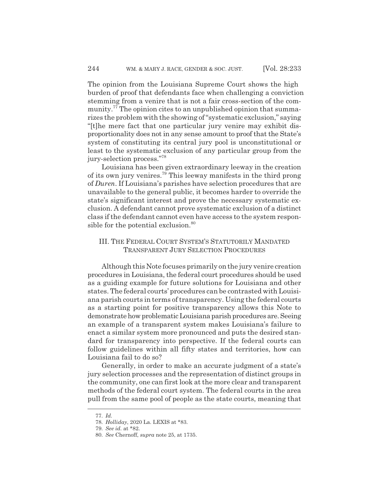The opinion from the Louisiana Supreme Court shows the high burden of proof that defendants face when challenging a conviction stemming from a venire that is not a fair cross-section of the community.<sup>77</sup> The opinion cites to an unpublished opinion that summarizes the problem with the showing of "systematic exclusion," saying "[t]he mere fact that one particular jury venire may exhibit disproportionality does not in any sense amount to proof that the State's system of constituting its central jury pool is unconstitutional or least to the systematic exclusion of any particular group from the jury-selection process."78

Louisiana has been given extraordinary leeway in the creation of its own jury venires.79 This leeway manifests in the third prong of *Duren*. If Louisiana's parishes have selection procedures that are unavailable to the general public, it becomes harder to override the state's significant interest and prove the necessary systematic exclusion. A defendant cannot prove systematic exclusion of a distinct class if the defendant cannot even have access to the system responsible for the potential exclusion.<sup>80</sup>

## III. THE FEDERAL COURT SYSTEM'S STATUTORILY MANDATED TRANSPARENT JURY SELECTION PROCEDURES

Although this Note focuses primarily on the jury venire creation procedures in Louisiana, the federal court procedures should be used as a guiding example for future solutions for Louisiana and other states. The federal courts' procedures can be contrasted with Louisiana parish courts in terms of transparency. Using the federal courts as a starting point for positive transparency allows this Note to demonstrate how problematic Louisiana parish procedures are. Seeing an example of a transparent system makes Louisiana's failure to enact a similar system more pronounced and puts the desired standard for transparency into perspective. If the federal courts can follow guidelines within all fifty states and territories, how can Louisiana fail to do so?

Generally, in order to make an accurate judgment of a state's jury selection processes and the representation of distinct groups in the community, one can first look at the more clear and transparent methods of the federal court system. The federal courts in the area pull from the same pool of people as the state courts, meaning that

<sup>77.</sup> *Id.*

<sup>78.</sup> *Holliday*, 2020 La. LEXIS at \*83.

<sup>79.</sup> *See id.* at \*82.

<sup>80.</sup> *See* Chernoff, *supra* note 25, at 1735.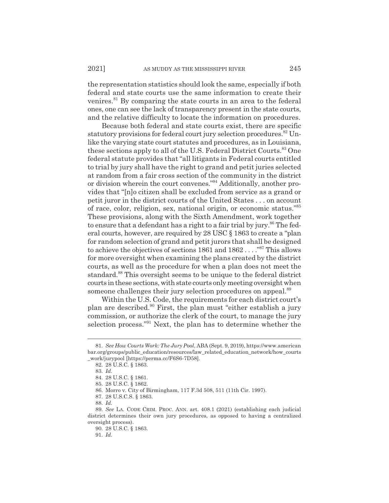the representation statistics should look the same, especially if both federal and state courts use the same information to create their venires.<sup>81</sup> By comparing the state courts in an area to the federal ones, one can see the lack of transparency present in the state courts, and the relative difficulty to locate the information on procedures.

Because both federal and state courts exist, there are specific statutory provisions for federal court jury selection procedures.<sup>82</sup> Unlike the varying state court statutes and procedures, as in Louisiana, these sections apply to all of the U.S. Federal District Courts.<sup>83</sup> One federal statute provides that "all litigants in Federal courts entitled to trial by jury shall have the right to grand and petit juries selected at random from a fair cross section of the community in the district or division wherein the court convenes."84 Additionally, another provides that "[n]o citizen shall be excluded from service as a grand or petit juror in the district courts of the United States . . . on account of race, color, religion, sex, national origin, or economic status."85 These provisions, along with the Sixth Amendment, work together to ensure that a defendant has a right to a fair trial by jury.<sup>86</sup> The federal courts, however, are required by 28 USC § 1863 to create a "plan for random selection of grand and petit jurors that shall be designed to achieve the objectives of sections 1861 and 1862 . . . ."87 This allows for more oversight when examining the plans created by the district courts, as well as the procedure for when a plan does not meet the standard.88 This oversight seems to be unique to the federal district courts in these sections, with state courts only meeting oversight when someone challenges their jury selection procedures on appeal.<sup>89</sup>

Within the U.S. Code, the requirements for each district court's plan are described.90 First, the plan must "either establish a jury commission, or authorize the clerk of the court, to manage the jury selection process."91 Next, the plan has to determine whether the

<sup>81.</sup> *See How Courts Work: The Jury Pool*, ABA (Sept. 9, 2019), https://www.american bar.org/groups/public\_education/resources/law\_related\_education\_network/how\_courts \_work/jurypool [https://perma.cc/F6S6-7D58].

<sup>82. 28</sup> U.S.C. § 1863.

<sup>83.</sup> *Id.*

<sup>84. 28</sup> U.S.C. § 1861.

<sup>85. 28</sup> U.S.C. § 1862.

<sup>86.</sup> Morro v. City of Birmingham, 117 F.3d 508, 511 (11th Cir. 1997).

<sup>87. 28</sup> U.S.C.S. § 1863.

<sup>88.</sup> *Id.*

<sup>89.</sup> *See* LA. CODE CRIM. PROC. ANN. art. 408.1 (2021) (establishing each judicial district determines their own jury procedures, as opposed to having a centralized oversight process).

<sup>90. 28</sup> U.S.C. § 1863.

<sup>91.</sup> *Id.*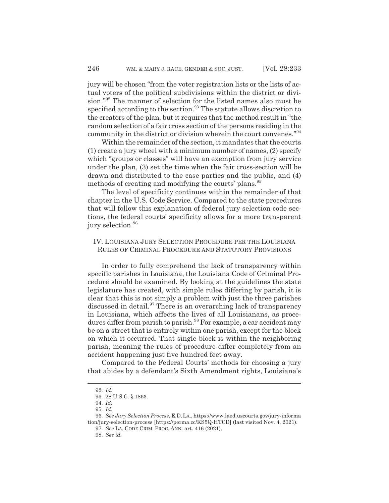jury will be chosen "from the voter registration lists or the lists of actual voters of the political subdivisions within the district or division."92 The manner of selection for the listed names also must be specified according to the section.<sup>93</sup> The statute allows discretion to the creators of the plan, but it requires that the method result in "the random selection of a fair cross section of the persons residing in the community in the district or division wherein the court convenes."94

Within the remainder of the section, it mandates that the courts (1) create a jury wheel with a minimum number of names, (2) specify which "groups or classes" will have an exemption from jury service under the plan, (3) set the time when the fair cross-section will be drawn and distributed to the case parties and the public, and (4) methods of creating and modifying the courts' plans.<sup>95</sup>

The level of specificity continues within the remainder of that chapter in the U.S. Code Service. Compared to the state procedures that will follow this explanation of federal jury selection code sections, the federal courts' specificity allows for a more transparent jury selection.<sup>96</sup>

## IV. LOUISIANA JURY SELECTION PROCEDURE PER THE LOUISIANA RULES OF CRIMINAL PROCEDURE AND STATUTORY PROVISIONS

In order to fully comprehend the lack of transparency within specific parishes in Louisiana, the Louisiana Code of Criminal Procedure should be examined. By looking at the guidelines the state legislature has created, with simple rules differing by parish, it is clear that this is not simply a problem with just the three parishes discussed in detail.<sup>97</sup> There is an overarching lack of transparency in Louisiana, which affects the lives of all Louisianans, as procedures differ from parish to parish.<sup>98</sup> For example, a car accident may be on a street that is entirely within one parish, except for the block on which it occurred. That single block is within the neighboring parish, meaning the rules of procedure differ completely from an accident happening just five hundred feet away.

Compared to the Federal Courts' methods for choosing a jury that abides by a defendant's Sixth Amendment rights, Louisiana's

<sup>92.</sup> *Id.*

<sup>93. 28</sup> U.S.C. § 1863.

<sup>94.</sup> *Id.*

<sup>95.</sup> *Id.*

<sup>96.</sup> *See Jury Selection Process*, E.D.LA., https://www.laed.uscourts.gov/jury-informa tion/jury-selection-process [https://perma.cc/KS5Q-HTCD] (last visited Nov. 4, 2021).

<sup>97.</sup> *See* LA. CODE CRIM. PROC. ANN. art. 416 (2021).

<sup>98.</sup> *See id.*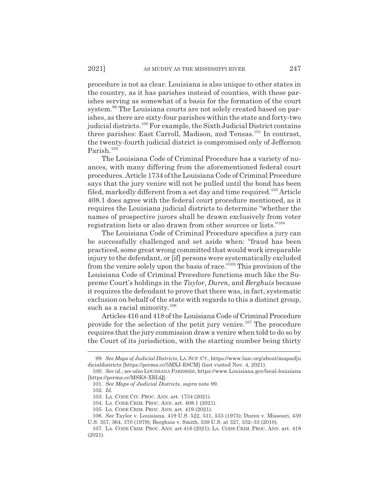procedure is not as clear. Louisiana is also unique to other states in the country, as it has parishes instead of counties, with these parishes serving as somewhat of a basis for the formation of the court system.<sup>99</sup> The Louisiana courts are not solely created based on parishes, as there are sixty-four parishes within the state and forty-two judicial districts.100 For example, the Sixth Judicial District contains three parishes: East Carroll, Madison, and Tensas.<sup>101</sup> In contrast, the twenty-fourth judicial district is compromised only of Jefferson Parish.<sup>102</sup>

The Louisiana Code of Criminal Procedure has a variety of nuances, with many differing from the aforementioned federal court procedures. Article 1734 of the Louisiana Code of Criminal Procedure says that the jury venire will not be pulled until the bond has been filed, markedly different from a set day and time required.<sup>103</sup> Article 408.1 does agree with the federal court procedure mentioned, as it requires the Louisiana judicial districts to determine "whether the names of prospective jurors shall be drawn exclusively from voter registration lists or also drawn from other sources or lists."104

The Louisiana Code of Criminal Procedure specifies a jury can be successfully challenged and set aside when: "fraud has been practiced, some great wrong committed that would work irreparable injury to the defendant, or [if] persons were systematically excluded from the venire solely upon the basis of race."105 This provision of the Louisiana Code of Criminal Procedure functions much like the Supreme Court's holdings in the *Taylor, Duren,* and *Berghuis* because it requires the defendant to prove that there was, in fact, systematic exclusion on behalf of the state with regards to this a distinct group, such as a racial minority.<sup>106</sup>

Articles 416 and 418 of the Louisiana Code of Criminal Procedure provide for the selection of the petit jury venire.<sup>107</sup> The procedure requires that the jury commission draw a venire when told to do so by the Court of its jurisdiction, with the starting number being thirty

<sup>99.</sup> *See Maps of Judicial Districts*, LA.SUP.CT., https://www.lasc.org/about/mapsofju dicialdistricts [https://perma.cc/5MXJ-E8CM] (last visited Nov. 4, 2021).

<sup>100.</sup> *See id.*; *see also* LOUISIANA PARISHES, https://www.Louisiana.gov/local-louisiana [https://perma.cc/MSK8-XRLQ].

<sup>101.</sup> *See Maps of Judicial Districts*, *supra* note 99.

<sup>102.</sup> *Id.*

<sup>103.</sup> LA. CODE CIV. PROC. ANN. art. 1734 (2021).

<sup>104.</sup> LA. CODE CRIM. PROC. ANN. art. 408.1 (2021).

<sup>105.</sup> LA. CODE CRIM. PROC. ANN. art. 419 (2021).

<sup>106.</sup> *See* Taylor v. Louisiana, 419 U.S. 522, 531, 533 (1975); Duren v. Missouri, 439 U.S. 357, 364, 370 (1979); Berghuis v. Smith, 559 U.S. at 327, 332–33 (2010).

<sup>107.</sup> LA. CODE CRIM. PROC. ANN. art 416 (2021); LA. CODE CRIM. PROC. ANN. art. 418 (2021).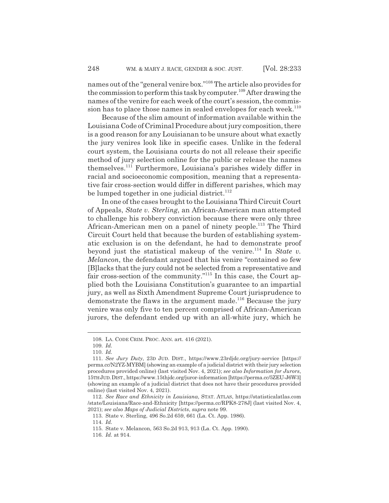names out of the "general venire box."108 The article also provides for the commission to perform this task by computer.<sup>109</sup> After drawing the names of the venire for each week of the court's session, the commission has to place those names in sealed envelopes for each week.<sup>110</sup>

Because of the slim amount of information available within the Louisiana Code of Criminal Procedure about jury composition, there is a good reason for any Louisianan to be unsure about what exactly the jury venires look like in specific cases. Unlike in the federal court system, the Louisiana courts do not all release their specific method of jury selection online for the public or release the names themselves.111 Furthermore, Louisiana's parishes widely differ in racial and socioeconomic composition, meaning that a representative fair cross-section would differ in different parishes, which may be lumped together in one judicial district. $112$ 

In one of the cases brought to the Louisiana Third Circuit Court of Appeals, *State v. Sterling*, an African-American man attempted to challenge his robbery conviction because there were only three African-American men on a panel of ninety people.<sup>113</sup> The Third Circuit Court held that because the burden of establishing systematic exclusion is on the defendant, he had to demonstrate proof beyond just the statistical makeup of the venire.114 In *State v. Melancon*, the defendant argued that his venire "contained so few [B]lacks that the jury could not be selected from a representative and fair cross-section of the community."115 In this case, the Court applied both the Louisiana Constitution's guarantee to an impartial jury, as well as Sixth Amendment Supreme Court jurisprudence to demonstrate the flaws in the argument made.<sup>116</sup> Because the jury venire was only five to ten percent comprised of African-American jurors, the defendant ended up with an all-white jury, which he

<sup>108.</sup> LA. CODE CRIM. PROC. ANN. art. 416 (2021).

<sup>109.</sup> *Id.*

<sup>110.</sup> *Id.*

<sup>111.</sup> *See Jury Duty*, 23D JUD. DIST., https://www.23rdjdc.org/jury-service [https:// perma.cc/N2YZ-MYBM] (showing an example of a judicial district with their jury selection procedures provided online) (last visited Nov. 4, 2021); *see also Information for Jurors*, 15TH JUD.DIST., https://www.15thjdc.org/juror-information [https://perma.cc/5ZEU-J6W3] (showing an example of a judicial district that does not have their procedures provided online) (last visited Nov. 4, 2021).

<sup>112.</sup> *See Race and Ethnicity in Louisiana*, STAT. ATLAS, https://statisticalatlas.com /state/Louisiana/Race-and-Ethnicity [https://perma.cc/RPK8-278J] (last visited Nov. 4, 2021); *see also Maps of Judicial Districts*, *supra* note 99.

<sup>113.</sup> State v. Sterling, 496 So.2d 659, 661 (La. Ct. App. 1986).

<sup>114.</sup> *Id.*

<sup>115.</sup> State v. Melancon, 563 So.2d 913, 913 (La. Ct. App. 1990).

<sup>116.</sup> *Id.* at 914.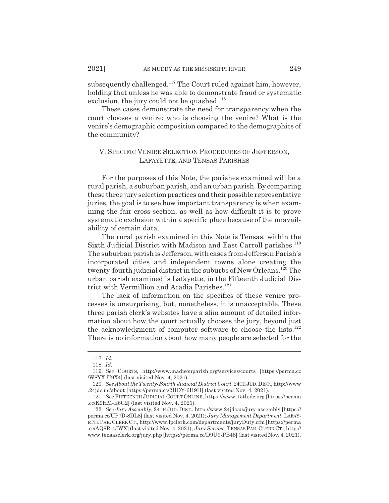subsequently challenged.<sup>117</sup> The Court ruled against him, however, holding that unless he was able to demonstrate fraud or systematic exclusion, the jury could not be quashed. $118$ 

These cases demonstrate the need for transparency when the court chooses a venire: who is choosing the venire? What is the venire's demographic composition compared to the demographics of the community?

## V. SPECIFIC VENIRE SELECTION PROCEDURES OF JEFFERSON, LAFAYETTE, AND TENSAS PARISHES

For the purposes of this Note, the parishes examined will be a rural parish, a suburban parish, and an urban parish. By comparing these three jury selection practices and their possible representative juries, the goal is to see how important transparency is when examining the fair cross-section, as well as how difficult it is to prove systematic exclusion within a specific place because of the unavailability of certain data.

The rural parish examined in this Note is Tensas, within the Sixth Judicial District with Madison and East Carroll parishes.<sup>119</sup> The suburban parish is Jefferson, with cases from Jefferson Parish's incorporated cities and independent towns alone creating the twenty-fourth judicial district in the suburbs of New Orleans.120 The urban parish examined is Lafayette, in the Fifteenth Judicial District with Vermillion and Acadia Parishes.<sup>121</sup>

The lack of information on the specifics of these venire processes is unsurprising, but, nonetheless, it is unacceptable. These three parish clerk's websites have a slim amount of detailed information about how the court actually chooses the jury, beyond just the acknowledgment of computer software to choose the lists. $122$ There is no information about how many people are selected for the

<sup>117.</sup> *Id.*

<sup>118.</sup> *Id.*

<sup>119.</sup> *See* COURTS, http://www.madisonparish.org/services/courts [https://perma.cc /W8YX-U9X4] (last visited Nov. 4, 2021).

<sup>120.</sup> *See About the Twenty-Fourth Judicial District Court*, 24TH JUD.DIST., http://www .24jdc.us/about [https://perma.cc/2HDY-6H9H] (last visited Nov. 4, 2021).

<sup>121.</sup> *See* FIFTEENTH JUDICIAL COURT ONLINE, https://www.15thjdc.org [https://perma .cc/K9HM-E6G2] (last visited Nov. 4, 2021).

<sup>122.</sup> *See Jury Assembly*, 24TH JUD. DIST., http://www.24jdc.us/jury-assembly [https:// perma.cc/UP7D-8DL8] (last visited Nov. 4, 2021); *Jury Management Department*, LAFAY-ETTE PAR.CLERK CT., http://www.lpclerk.com/departments/juryDuty.cfm [https://perma .cc/AQ8R-4JWX] (last visited Nov. 4, 2021); *Jury Service*, TENSASPAR.CLERK CT., http:// www.tensasclerk.org/jury.php [https://perma.cc/D9U9-PB48] (last visited Nov. 4, 2021).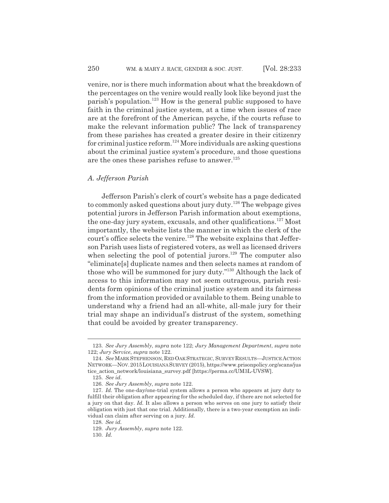venire, nor is there much information about what the breakdown of the percentages on the venire would really look like beyond just the parish's population.123 How is the general public supposed to have faith in the criminal justice system, at a time when issues of race are at the forefront of the American psyche, if the courts refuse to make the relevant information public? The lack of transparency from these parishes has created a greater desire in their citizenry for criminal justice reform.<sup>124</sup> More individuals are asking questions about the criminal justice system's procedure, and those questions are the ones these parishes refuse to answer. $125$ 

## *A. Jefferson Parish*

Jefferson Parish's clerk of court's website has a page dedicated to commonly asked questions about jury duty.<sup>126</sup> The webpage gives potential jurors in Jefferson Parish information about exemptions, the one-day jury system, excusals, and other qualifications.<sup>127</sup> Most importantly, the website lists the manner in which the clerk of the court's office selects the venire.<sup>128</sup> The website explains that Jefferson Parish uses lists of registered voters, as well as licensed drivers when selecting the pool of potential jurors.<sup>129</sup> The computer also "eliminate[s] duplicate names and then selects names at random of those who will be summoned for jury duty."130 Although the lack of access to this information may not seem outrageous, parish residents form opinions of the criminal justice system and its fairness from the information provided or available to them. Being unable to understand why a friend had an all-white, all-male jury for their trial may shape an individual's distrust of the system, something that could be avoided by greater transparency.

<sup>123.</sup> *See Jury Assembly*, *supra* note 122; *Jury Management Department*, *supra* note 122; *Jury Service*, *supra* note 122.

<sup>124.</sup> *See* MARK STEPHENSON,RED OAK STRATEGIC, SURVEYRESULTS—JUSTICE ACTION NETWORK—NOV.2015LOUISIANA SURVEY (2015), https://www.prisonpolicy.org/scans/jus tice\_action\_network/louisiana\_survey.pdf [https://perma.cc/UM3L-UVSW].

<sup>125.</sup> *See id.*

<sup>126.</sup> *See Jury Assembly*, *supra* note 122.

<sup>127.</sup> *Id.* The one-day/one-trial system allows a person who appears at jury duty to fulfill their obligation after appearing for the scheduled day, if there are not selected for a jury on that day. *Id.* It also allows a person who serves on one jury to satisfy their obligation with just that one trial. Additionally, there is a two-year exemption an individual can claim after serving on a jury. *Id.*

<sup>128.</sup> *See id.*

<sup>129.</sup> *Jury Assembly*, *supra* note 122.

<sup>130.</sup> *Id.*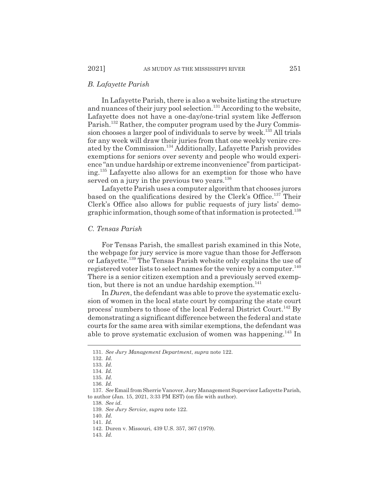## *B. Lafayette Parish*

In Lafayette Parish, there is also a website listing the structure and nuances of their jury pool selection.<sup>131</sup> According to the website, Lafayette does not have a one-day/one-trial system like Jefferson Parish.<sup>132</sup> Rather, the computer program used by the Jury Commission chooses a larger pool of individuals to serve by week.<sup>133</sup> All trials for any week will draw their juries from that one weekly venire created by the Commission.134 Additionally, Lafayette Parish provides exemptions for seniors over seventy and people who would experience "an undue hardship or extreme inconvenience" from participating.135 Lafayette also allows for an exemption for those who have served on a jury in the previous two years. $136$ 

Lafayette Parish uses a computer algorithm that chooses jurors based on the qualifications desired by the Clerk's Office.<sup>137</sup> Their Clerk's Office also allows for public requests of jury lists' demographic information, though some of that information is protected.<sup>138</sup>

#### *C. Tensas Parish*

For Tensas Parish, the smallest parish examined in this Note, the webpage for jury service is more vague than those for Jefferson or Lafayette.139 The Tensas Parish website only explains the use of registered voter lists to select names for the venire by a computer.<sup>140</sup> There is a senior citizen exemption and a previously served exemption, but there is not an undue hardship exemption. $141$ 

In *Duren*, the defendant was able to prove the systematic exclusion of women in the local state court by comparing the state court process' numbers to those of the local Federal District Court.<sup>142</sup> By demonstrating a significant difference between the federal and state courts for the same area with similar exemptions, the defendant was able to prove systematic exclusion of women was happening.<sup>143</sup> In

138. *See id.*

139. *See Jury Service*, *supra* note 122.

- 140. *Id.*
- 141. *Id.*

143. *Id.*

<sup>131.</sup> *See Jury Management Department*, *supra* note 122.

<sup>132.</sup> *Id.*

<sup>133.</sup> *Id.*

<sup>134.</sup> *Id.*

<sup>135.</sup> *Id.*

<sup>136.</sup> *Id.*

<sup>137.</sup> *See* Email from Sherrie Vanover, Jury Management Supervisor Lafayette Parish, to author (Jan. 15, 2021, 3:33 PM EST) (on file with author).

<sup>142.</sup> Duren v. Missouri, 439 U.S. 357, 367 (1979).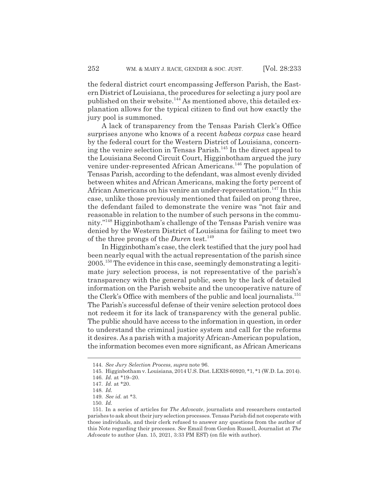the federal district court encompassing Jefferson Parish, the Eastern District of Louisiana, the procedures for selecting a jury pool are published on their website.<sup>144</sup> As mentioned above, this detailed explanation allows for the typical citizen to find out how exactly the jury pool is summoned.

A lack of transparency from the Tensas Parish Clerk's Office surprises anyone who knows of a recent *habeas corpus* case heard by the federal court for the Western District of Louisiana, concerning the venire selection in Tensas Parish.<sup>145</sup> In the direct appeal to the Louisiana Second Circuit Court, Higginbotham argued the jury venire under-represented African Americans.<sup>146</sup> The population of Tensas Parish, according to the defendant, was almost evenly divided between whites and African Americans, making the forty percent of African Americans on his venire an under-representation.<sup>147</sup> In this case, unlike those previously mentioned that failed on prong three, the defendant failed to demonstrate the venire was "not fair and reasonable in relation to the number of such persons in the community."148 Higginbotham's challenge of the Tensas Parish venire was denied by the Western District of Louisiana for failing to meet two of the three prongs of the *Duren* test.<sup>149</sup>

In Higginbotham's case, the clerk testified that the jury pool had been nearly equal with the actual representation of the parish since 2005.150 The evidence in this case, seemingly demonstrating a legitimate jury selection process, is not representative of the parish's transparency with the general public, seen by the lack of detailed information on the Parish website and the uncooperative nature of the Clerk's Office with members of the public and local journalists.<sup>151</sup> The Parish's successful defense of their venire selection protocol does not redeem it for its lack of transparency with the general public. The public should have access to the information in question, in order to understand the criminal justice system and call for the reforms it desires. As a parish with a majority African-American population, the information becomes even more significant, as African Americans

<sup>144.</sup> *See Jury Selection Process*, *supra* note 96.

<sup>145.</sup> Higginbotham v. Louisiana, 2014 U.S. Dist. LEXIS 60920, \*1, \*1 (W.D. La. 2014).

<sup>146.</sup> *Id.* at \*19–20.

<sup>147.</sup> *Id.* at \*20.

<sup>148.</sup> *Id.*

<sup>149.</sup> *See id.* at \*3.

<sup>150.</sup> *Id.*

<sup>151.</sup> In a series of articles for *The Advocate*, journalists and researchers contacted parishes to ask about their jury selection processes. Tensas Parish did not cooperate with those individuals, and their clerk refused to answer any questions from the author of this Note regarding their processes. *See* Email from Gordon Russell, Journalist at *The Advocate* to author (Jan. 15, 2021, 3:33 PM EST) (on file with author).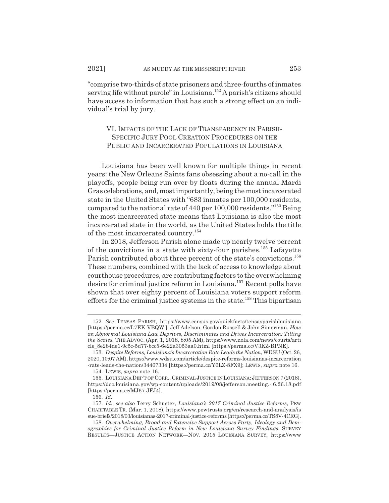"comprise two-thirds of state prisoners and three-fourths of inmates serving life without parole" in Louisiana.<sup>152</sup> A parish's citizens should have access to information that has such a strong effect on an individual's trial by jury.

VI. IMPACTS OF THE LACK OF TRANSPARENCY IN PARISH-SPECIFIC JURY POOL CREATION PROCEDURES ON THE PUBLIC AND INCARCERATED POPULATIONS IN LOUISIANA

Louisiana has been well known for multiple things in recent years: the New Orleans Saints fans obsessing about a no-call in the playoffs, people being run over by floats during the annual Mardi Gras celebrations, and, most importantly, being the most incarcerated state in the United States with "683 inmates per 100,000 residents, compared to the national rate of 440 per 100,000 residents."153 Being the most incarcerated state means that Louisiana is also the most incarcerated state in the world, as the United States holds the title of the most incarcerated country.154

In 2018, Jefferson Parish alone made up nearly twelve percent of the convictions in a state with sixty-four parishes.<sup>155</sup> Lafayette Parish contributed about three percent of the state's convictions.<sup>156</sup> These numbers, combined with the lack of access to knowledge about courthouse procedures, are contributing factors to the overwhelming desire for criminal justice reform in Louisiana.157 Recent polls have shown that over eighty percent of Louisiana voters support reform efforts for the criminal justice systems in the state.<sup>158</sup> This bipartisan

<sup>152.</sup> *See* TENSAS PARISH, https://www.census.gov/quickfacts/tensasparishlouisiana [https://perma.cc/L7EK-VBQW ]; Jeff Adelson, Gordon Russell & John Simerman, *How an Abnormal Louisiana Law Deprives, Discriminates and Drives Incarceration: Tilting the Scales*, THE ADVOC. (Apr. 1, 2018, 8:05 AM), https://www.nola.com/news/courts/arti cle\_8e284de1-9c5c-5d77-bcc5-6e22a3053aa0.html [https://perma.cc/V3KZ-BPNE].

<sup>153.</sup> *Despite Reforms, Louisiana's Incarceration Rate Leads the Nation*, WDSU (Oct. 26, 2020, 10:07 AM), https://www.wdsu.com/article/despite-reforms-louisianas-incarceration -rate-leads-the-nation/34467334 [https://perma.cc/Y6LZ-8FX9]; LEWIS, *supra* note 16.

<sup>154.</sup> LEWIS, *supra* note 16.

<sup>155.</sup> LOUISIANA DEP'T OF CORR., CRIMINAL JUSTICE IN LOUISIANA: JEFFERSON 7 (2018), https://doc.louisiana.gov/wp-content/uploads/2019/08/jefferson.meeting.-.6.26.18.pdf [https://perma.cc/MJ67-JFJ4].

<sup>156.</sup> *Id.*

<sup>157.</sup> *Id.*; *see also* Terry Schuster, *Louisiana's 2017 Criminal Justice Reforms*, PEW CHARITABLE TR. (Mar. 1, 2018), https://www.pewtrusts.org/en/research-and-analysis/is sue-briefs/2018/03/louisianas-2017-criminal-justice-reforms [https://perma.cc/TS8V-4CRG].

<sup>158.</sup> *Overwhelming, Broad and Extensive Support Across Party, Ideology and Demographics for Criminal Justice Reform in New Louisiana Survey Findings*, SURVEY RESULTS—JUSTICE ACTION NETWORK—NOV. 2015 LOUISIANA SURVEY, https://www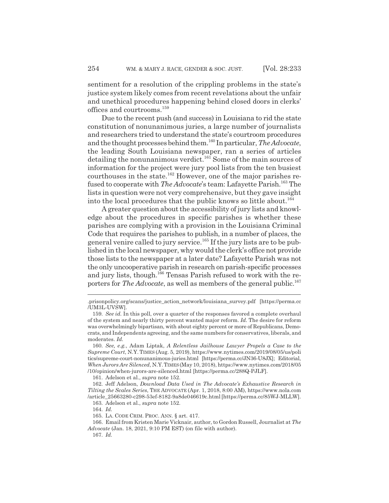sentiment for a resolution of the crippling problems in the state's justice system likely comes from recent revelations about the unfair and unethical procedures happening behind closed doors in clerks' offices and courtrooms.<sup>159</sup>

Due to the recent push (and success) in Louisiana to rid the state constitution of nonunanimous juries, a large number of journalists and researchers tried to understand the state's courtroom procedures and the thought processes behind them.160 In particular, *The Advocate*, the leading South Louisiana newspaper, ran a series of articles detailing the nonunanimous verdict.<sup>161</sup> Some of the main sources of information for the project were jury pool lists from the ten busiest courthouses in the state.<sup>162</sup> However, one of the major parishes refused to cooperate with *The Advocate*'s team: Lafayette Parish.<sup>163</sup> The lists in question were not very comprehensive, but they gave insight into the local procedures that the public knows so little about.<sup>164</sup>

A greater question about the accessibility of jury lists and knowledge about the procedures in specific parishes is whether these parishes are complying with a provision in the Louisiana Criminal Code that requires the parishes to publish, in a number of places, the general venire called to jury service.<sup>165</sup> If the jury lists are to be published in the local newspaper, why would the clerk's office not provide those lists to the newspaper at a later date? Lafayette Parish was not the only uncooperative parish in research on parish-specific processes and jury lists, though.<sup>166</sup> Tensas Parish refused to work with the reporters for *The Advocate*, as well as members of the general public.<sup>167</sup>

<sup>.</sup>prisonpolicy.org/scans/justice\_action\_network/louisiana\_survey.pdf [https://perma.cc /UM3L-UVSW].

<sup>159.</sup> *See id.* In this poll, over a quarter of the responses favored a complete overhaul of the system and nearly thirty percent wanted major reform. *Id.* The desire for reform was overwhelmingly bipartisan, with about eighty percent or more of Republicans, Democrats, and Independents agreeing, and the same numbers for conservatives, liberals, and moderates. *Id.*

<sup>160.</sup> *See, e.g.*, Adam Liptak, *A Relentless Jailhouse Lawyer Propels a Case to the Supreme Court*, N.Y. TIMES (Aug. 5, 2019), https://www.nytimes.com/2019/08/05/us/poli tics/supreme-court-nonunanimous-juries.html [https://perma.cc/JN36-U8JX]; Editorial, *When Jurors Are Silenced*, N.Y.TIMES(May 10, 2018), https://www.nytimes.com/2018/05 /10/opinion/when-jurors-are-silenced.html [https://perma.cc/288Q-PJLF].

<sup>161.</sup> Adelson et al., *supra* note 152.

<sup>162.</sup> Jeff Adelson, *Download Data Used in The Advocate's Exhaustive Research in Tilting the Scales Series*, THE ADVOCATE (Apr. 1, 2018, 8:00 AM), https://www.nola.com /article\_25663280-c298-53ef-8182-9a8de046619c.html [https://perma.cc/85WJ-MLLW].

<sup>163.</sup> Adelson et al., *supra* note 152.

<sup>164.</sup> *Id.*

<sup>165.</sup> LA. CODE CRIM. PROC. ANN. § art. 417.

<sup>166.</sup> Email from Kristen Marie Vicknair, author, to Gordon Russell, Journalist at *The Advocate* (Jan. 18, 2021, 9:10 PM EST) (on file with author).

<sup>167.</sup> *Id.*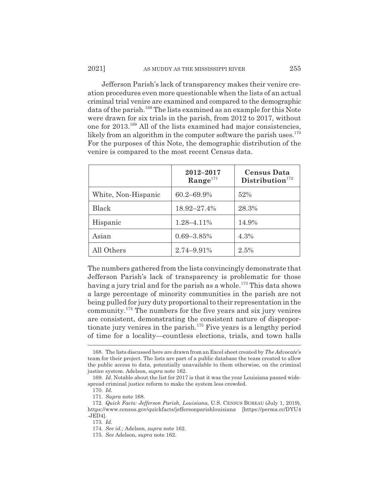Jefferson Parish's lack of transparency makes their venire creation procedures even more questionable when the lists of an actual criminal trial venire are examined and compared to the demographic data of the parish.<sup>168</sup> The lists examined as an example for this Note were drawn for six trials in the parish, from 2012 to 2017, without one for 2013.169 All of the lists examined had major consistencies, likely from an algorithm in the computer software the parish uses. $170$ For the purposes of this Note, the demographic distribution of the venire is compared to the most recent Census data.

|                     | 2012-2017<br>$Range^{171}$ | <b>Census Data</b><br>Distribution <sup>172</sup> |
|---------------------|----------------------------|---------------------------------------------------|
| White, Non-Hispanic | $60.2 - 69.9\%$            | 52%                                               |
| Black               | 18.92-27.4%                | 28.3%                                             |
| Hispanic            | 1.28-4.11%                 | 14.9%                                             |
| Asian               | $0.69 - 3.85\%$            | 4.3%                                              |
| All Others          | 2.74-9.91%                 | 2.5%                                              |

The numbers gathered from the lists convincingly demonstrate that Jefferson Parish's lack of transparency is problematic for those having a jury trial and for the parish as a whole.<sup>173</sup> This data shows a large percentage of minority communities in the parish are not being pulled for jury duty proportional to their representation in the community.174 The numbers for the five years and six jury venires are consistent, demonstrating the consistent nature of disproportionate jury venires in the parish.<sup>175</sup> Five years is a lengthy period of time for a locality—countless elections, trials, and town halls

<sup>168.</sup> The lists discussed here are drawn from an Excel sheet created by *The Advocate*'s team for their project. The lists are part of a public database the team created to allow the public access to data, potentially unavailable to them otherwise, on the criminal justice system. Adelson, *supra* note 162.

<sup>169.</sup> *Id.* Notable about the list for 2017 is that it was the year Louisiana passed widespread criminal justice reform to make the system less crowded.

<sup>170.</sup> *Id.*

<sup>171.</sup> *Supra* note 168.

<sup>172.</sup> *Quick Facts: Jefferson Parish, Louisiana*, U.S. CENSUS BUREAU (July 1, 2019), https://www.census.gov/quickfacts/jeffersonparishlouisiana [https://perma.cc/DYU4 -JED4].

<sup>173.</sup> *Id.*

<sup>174.</sup> *See id.;* Adelson, *supra* note 162.

<sup>175.</sup> *See* Adelson, *supra* note 162.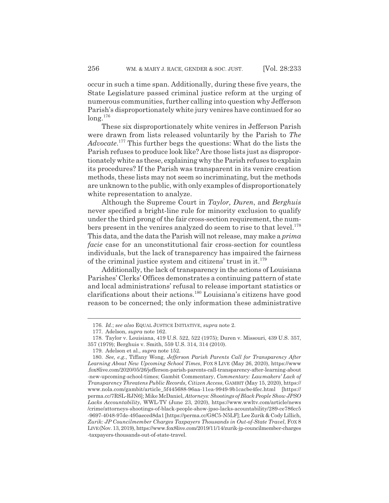occur in such a time span. Additionally, during these five years, the State Legislature passed criminal justice reform at the urging of numerous communities, further calling into question why Jefferson Parish's disproportionately white jury venires have continued for so  $long.^{176}$ 

These six disproportionately white venires in Jefferson Parish were drawn from lists released voluntarily by the Parish to *The Advocate*. 177 This further begs the questions: What do the lists the Parish refuses to produce look like? Are those lists just as disproportionately white as these, explaining why the Parish refuses to explain its procedures? If the Parish was transparent in its venire creation methods, these lists may not seem so incriminating, but the methods are unknown to the public, with only examples of disproportionately white representation to analyze.

Although the Supreme Court in *Taylor, Duren*, and *Berghuis* never specified a bright-line rule for minority exclusion to qualify under the third prong of the fair cross-section requirement, the numbers present in the venires analyzed do seem to rise to that level.<sup>178</sup> This data, and the data the Parish will not release, may make a *prima facie* case for an unconstitutional fair cross-section for countless individuals, but the lack of transparency has impaired the fairness of the criminal justice system and citizens' trust in it.<sup>179</sup>

Additionally, the lack of transparency in the actions of Louisiana Parishes' Clerks' Offices demonstrates a continuing pattern of state and local administrations' refusal to release important statistics or clarifications about their actions.180 Louisiana's citizens have good reason to be concerned; the only information these administrative

<sup>176.</sup> *Id.*; *see also* EQUAL JUSTICE INITIATIVE, *supra* note 2.

<sup>177.</sup> Adelson, *supra* note 162.

<sup>178.</sup> Taylor v. Louisiana, 419 U.S. 522, 522 (1975); Duren v. Missouri, 439 U.S. 357, 357 (1979); Berghuis v. Smith, 559 U.S. 314, 314 (2010).

<sup>179.</sup> Adelson et al., *supra* note 152.

<sup>180.</sup> *See, e.g.*, Tiffany Wong, *Jefferson Parish Parents Call for Transparency After Learning About New Upcoming School Times*, FOX 8 LIVE (May 26, 2020), https://www .fox8live.com/2020/05/26/jefferson-parish-parents-call-transparency-after-learning-about -new-upcoming-school-times; Gambit Commentary, *Commentary: Lawmakers' Lack of Transparency Threatens Public Records, Citizen Access*, GAMBIT (May 15, 2020), https:// www.nola.com/gambit/article\_5f445688-96aa-11ea-9949-9b1cacbe4fec.html [https:// perma.cc/7RSL-RJN6]; Mike McDaniel, *Attorneys: Shootings of Black People Show JPSO Lacks Accountability*, WWL-TV (June 23, 2020), https://www.wwltv.com/article/news /crime/attorneys-shootings-of-black-people-show-jpso-lacks-acountability/289-ce786cc5 -9697-4048-97de-495aeced8da1 [https://perma.cc/G8C5-N5LF]; Lee Zurik & Cody Lillich, *Zurik: JP Councilmember Charges Taxpayers Thousands in Out-of-State Travel*, FOX 8 LIVE(Nov. 13, 2019), https://www.fox8live.com/2019/11/14/zurik-jp-councilmember-charges -taxpayers-thousands-out-of-state-travel.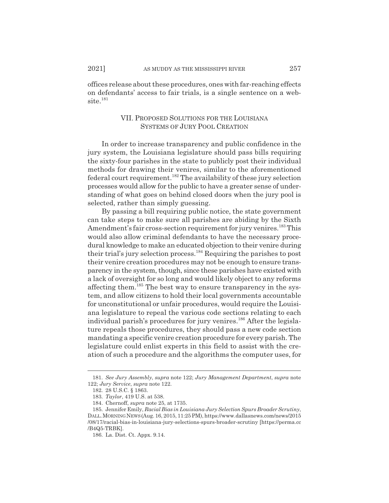offices release about these procedures, ones with far-reaching effects on defendants' access to fair trials, is a single sentence on a web $site.<sup>181</sup>$ 

## VII. PROPOSED SOLUTIONS FOR THE LOUISIANA SYSTEMS OF JURY POOL CREATION

In order to increase transparency and public confidence in the jury system, the Louisiana legislature should pass bills requiring the sixty-four parishes in the state to publicly post their individual methods for drawing their venires, similar to the aforementioned federal court requirement.182 The availability of these jury selection processes would allow for the public to have a greater sense of understanding of what goes on behind closed doors when the jury pool is selected, rather than simply guessing.

By passing a bill requiring public notice, the state government can take steps to make sure all parishes are abiding by the Sixth Amendment's fair cross-section requirement for jury venires.<sup>183</sup> This would also allow criminal defendants to have the necessary procedural knowledge to make an educated objection to their venire during their trial's jury selection process.184 Requiring the parishes to post their venire creation procedures may not be enough to ensure transparency in the system, though, since these parishes have existed with a lack of oversight for so long and would likely object to any reforms affecting them.185 The best way to ensure transparency in the system, and allow citizens to hold their local governments accountable for unconstitutional or unfair procedures, would require the Louisiana legislature to repeal the various code sections relating to each individual parish's procedures for jury venires.<sup>186</sup> After the legislature repeals those procedures, they should pass a new code section mandating a specific venire creation procedure for every parish. The legislature could enlist experts in this field to assist with the creation of such a procedure and the algorithms the computer uses, for

<sup>181.</sup> *See Jury Assembly*, *supra* note 122; *Jury Management Department*, *supra* note 122; *Jury Service*, *supra* note 122.

<sup>182. 28</sup> U.S.C. § 1863.

<sup>183.</sup> *Taylor*, 419 U.S. at 538.

<sup>184.</sup> Chernoff, *supra* note 25, at 1735.

<sup>185.</sup> Jennifer Emily, *Racial Bias in Louisiana Jury Selection Spurs Broader Scrutiny*, DALL.MORNINGNEWS(Aug. 16, 2015, 11:25 PM), https://www.dallasnews.com/news/2015 /08/17/racial-bias-in-louisiana-jury-selections-spurs-broader-scrutiny [https://perma.cc /B4Q5-TRBK].

<sup>186.</sup> La. Dist. Ct. Appx. 9.14.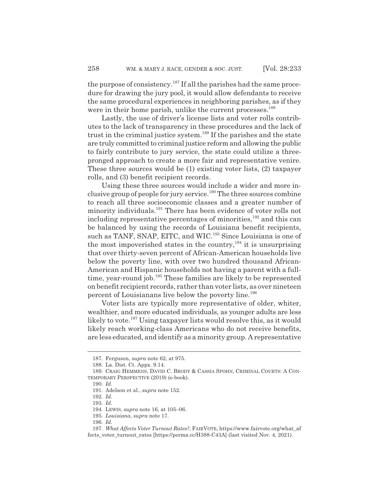the purpose of consistency.<sup>187</sup> If all the parishes had the same procedure for drawing the jury pool, it would allow defendants to receive the same procedural experiences in neighboring parishes, as if they were in their home parish, unlike the current processes.<sup>188</sup>

Lastly, the use of driver's license lists and voter rolls contributes to the lack of transparency in these procedures and the lack of trust in the criminal justice system.<sup>189</sup> If the parishes and the state are truly committed to criminal justice reform and allowing the public to fairly contribute to jury service, the state could utilize a threepronged approach to create a more fair and representative venire. These three sources would be (1) existing voter lists, (2) taxpayer rolls, and (3) benefit recipient records.

Using these three sources would include a wider and more inclusive group of people for jury service.<sup>190</sup> The three sources combine to reach all three socioeconomic classes and a greater number of minority individuals.<sup>191</sup> There has been evidence of voter rolls not including representative percentages of minorities,<sup>192</sup> and this can be balanced by using the records of Louisiana benefit recipients, such as TANF, SNAP, EITC, and WIC.<sup>193</sup> Since Louisiana is one of the most impoverished states in the country, $194$  it is unsurprising that over thirty-seven percent of African-American households live below the poverty line, with over two hundred thousand African-American and Hispanic households not having a parent with a fulltime, year-round job.<sup>195</sup> These families are likely to be represented on benefit recipient records, rather than voter lists, as over nineteen percent of Louisianans live below the poverty line.<sup>196</sup>

Voter lists are typically more representative of older, whiter, wealthier, and more educated individuals, as younger adults are less likely to vote.<sup>197</sup> Using taxpayer lists would resolve this, as it would likely reach working-class Americans who do not receive benefits, are less educated, and identify as a minority group. A representative

<sup>187.</sup> Ferguson, *supra* note 62, at 975.

<sup>188.</sup> La. Dist. Ct. Appx. 9.14.

<sup>189.</sup> CRAIG HEMMENS, DAVID C. BRODY & CASSIA SPOHN, CRIMINAL COURTS: A CON-TEMPORARY PERSPECTIVE (2019) (e-book).

<sup>190.</sup> *Id.*

<sup>191.</sup> Adelson et al., *supra* note 152.

<sup>192.</sup> *Id.*

<sup>193.</sup> *Id.*

<sup>194.</sup> LEWIS, *supra* note 16, at 105–06.

<sup>195.</sup> *Louisiana*, *supra* note 17.

<sup>196.</sup> *Id.*

<sup>197.</sup> *What Affects Voter Turnout Rates?*, FAIRVOTE, https://www.fairvote.org/what\_af fects\_voter\_turnout\_rates [https://perma.cc/H388-C43A] (last visited Nov. 4, 2021).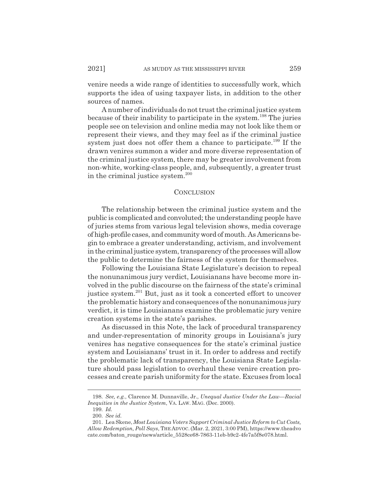venire needs a wide range of identities to successfully work, which supports the idea of using taxpayer lists, in addition to the other sources of names.

A number of individuals do not trust the criminal justice system because of their inability to participate in the system.198 The juries people see on television and online media may not look like them or represent their views, and they may feel as if the criminal justice system just does not offer them a chance to participate.<sup>199</sup> If the drawn venires summon a wider and more diverse representation of the criminal justice system, there may be greater involvement from non-white, working-class people, and, subsequently, a greater trust in the criminal justice system.<sup>200</sup>

#### **CONCLUSION**

The relationship between the criminal justice system and the public is complicated and convoluted; the understanding people have of juries stems from various legal television shows, media coverage of high-profile cases, and community word of mouth. As Americans begin to embrace a greater understanding, activism, and involvement in the criminal justice system, transparency of the processes will allow the public to determine the fairness of the system for themselves.

Following the Louisiana State Legislature's decision to repeal the nonunanimous jury verdict, Louisianans have become more involved in the public discourse on the fairness of the state's criminal justice system.201 But, just as it took a concerted effort to uncover the problematic history and consequences of the nonunanimous jury verdict, it is time Louisianans examine the problematic jury venire creation systems in the state's parishes.

As discussed in this Note, the lack of procedural transparency and under-representation of minority groups in Louisiana's jury venires has negative consequences for the state's criminal justice system and Louisianans' trust in it. In order to address and rectify the problematic lack of transparency, the Louisiana State Legislature should pass legislation to overhaul these venire creation processes and create parish uniformity for the state. Excuses from local

<sup>198.</sup> *See, e.g.*, Clarence M. Dunnaville, Jr., *Unequal Justice Under the Law—Racial Inequities in the Justice System*, VA. LAW. MAG. (Dec. 2000).

<sup>199.</sup> *Id.*

<sup>200.</sup> *See id.*

<sup>201.</sup> Lea Skene, *Most Louisiana Voters Support Criminal Justice Reform to Cut Costs, Allow Redemption, Poll Says*, THE ADVOC. (Mar. 2, 2021, 3:00 PM), https://www.theadvo cate.com/baton\_rouge/news/article\_5528ce68-7863-11eb-b9c2-4fe7a5f8e078.html.